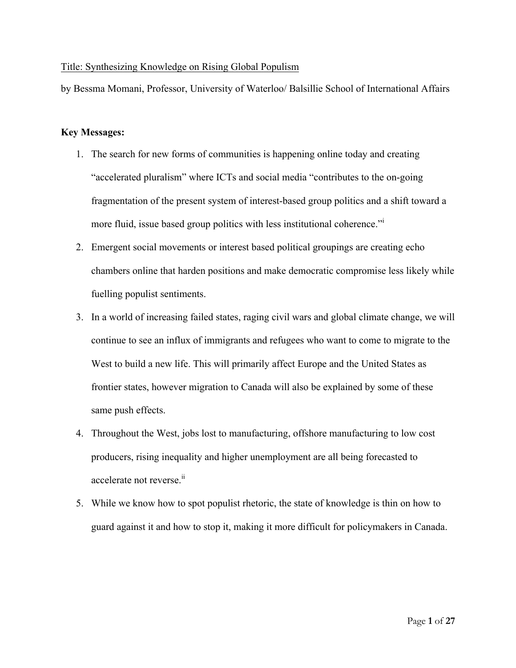## Title: Synthesizing Knowledge on Rising Global Populism

by Bessma Momani, Professor, University of Waterloo/ Balsillie School of International Affairs

# **Key Messages:**

- 1. The search for new forms of communities is happening online today and creating "accelerated pluralism" where ICTs and social media "contributes to the on-going fragmentation of the present system of interest-based group politics and a shift toward a more fluid, issue based group politics with less institutional coherence."<sup>i</sup>
- 2. Emergent social movements or interest based political groupings are creating echo chambers online that harden positions and make democratic compromise less likely while fuelling populist sentiments.
- 3. In a world of increasing failed states, raging civil wars and global climate change, we will continue to see an influx of immigrants and refugees who want to come to migrate to the West to build a new life. This will primarily affect Europe and the United States as frontier states, however migration to Canada will also be explained by some of these same push effects.
- 4. Throughout the West, jobs lost to manufacturing, offshore manufacturing to low cost producers, rising inequality and higher unemployment are all being forecasted to accelerate not reverse.<sup>ii</sup>
- 5. While we know how to spot populist rhetoric, the state of knowledge is thin on how to guard against it and how to stop it, making it more difficult for policymakers in Canada.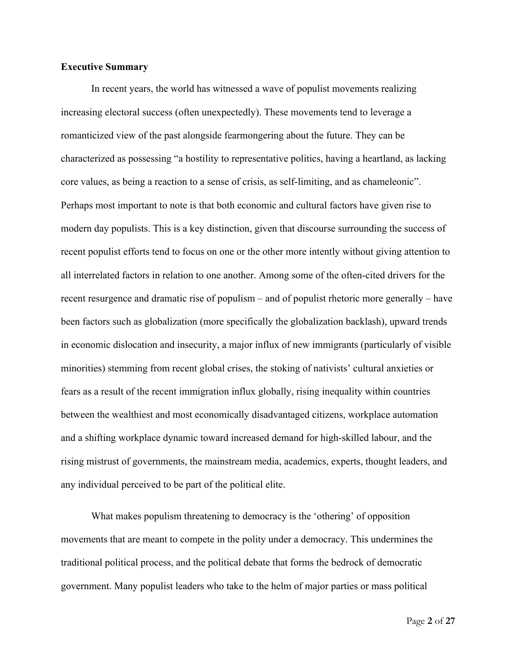#### **Executive Summary**

In recent years, the world has witnessed a wave of populist movements realizing increasing electoral success (often unexpectedly). These movements tend to leverage a romanticized view of the past alongside fearmongering about the future. They can be characterized as possessing "a hostility to representative politics, having a heartland, as lacking core values, as being a reaction to a sense of crisis, as self-limiting, and as chameleonic". Perhaps most important to note is that both economic and cultural factors have given rise to modern day populists. This is a key distinction, given that discourse surrounding the success of recent populist efforts tend to focus on one or the other more intently without giving attention to all interrelated factors in relation to one another. Among some of the often-cited drivers for the recent resurgence and dramatic rise of populism – and of populist rhetoric more generally – have been factors such as globalization (more specifically the globalization backlash), upward trends in economic dislocation and insecurity, a major influx of new immigrants (particularly of visible minorities) stemming from recent global crises, the stoking of nativists' cultural anxieties or fears as a result of the recent immigration influx globally, rising inequality within countries between the wealthiest and most economically disadvantaged citizens, workplace automation and a shifting workplace dynamic toward increased demand for high-skilled labour, and the rising mistrust of governments, the mainstream media, academics, experts, thought leaders, and any individual perceived to be part of the political elite.

What makes populism threatening to democracy is the 'othering' of opposition movements that are meant to compete in the polity under a democracy. This undermines the traditional political process, and the political debate that forms the bedrock of democratic government. Many populist leaders who take to the helm of major parties or mass political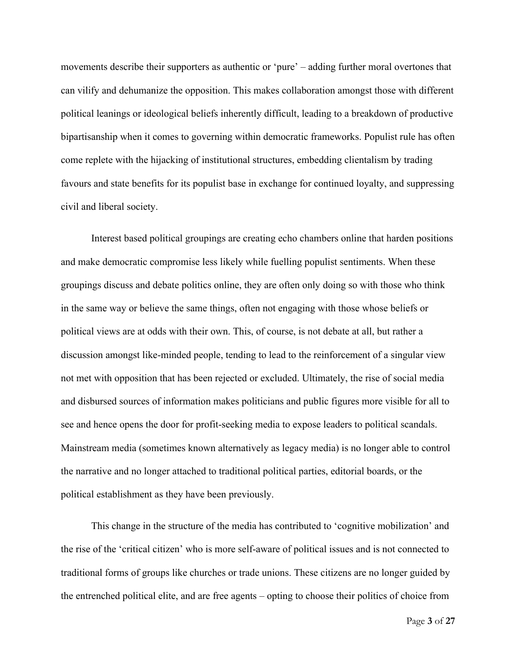movements describe their supporters as authentic or 'pure' – adding further moral overtones that can vilify and dehumanize the opposition. This makes collaboration amongst those with different political leanings or ideological beliefs inherently difficult, leading to a breakdown of productive bipartisanship when it comes to governing within democratic frameworks. Populist rule has often come replete with the hijacking of institutional structures, embedding clientalism by trading favours and state benefits for its populist base in exchange for continued loyalty, and suppressing civil and liberal society.

Interest based political groupings are creating echo chambers online that harden positions and make democratic compromise less likely while fuelling populist sentiments. When these groupings discuss and debate politics online, they are often only doing so with those who think in the same way or believe the same things, often not engaging with those whose beliefs or political views are at odds with their own. This, of course, is not debate at all, but rather a discussion amongst like-minded people, tending to lead to the reinforcement of a singular view not met with opposition that has been rejected or excluded. Ultimately, the rise of social media and disbursed sources of information makes politicians and public figures more visible for all to see and hence opens the door for profit-seeking media to expose leaders to political scandals. Mainstream media (sometimes known alternatively as legacy media) is no longer able to control the narrative and no longer attached to traditional political parties, editorial boards, or the political establishment as they have been previously.

This change in the structure of the media has contributed to 'cognitive mobilization' and the rise of the 'critical citizen' who is more self-aware of political issues and is not connected to traditional forms of groups like churches or trade unions. These citizens are no longer guided by the entrenched political elite, and are free agents – opting to choose their politics of choice from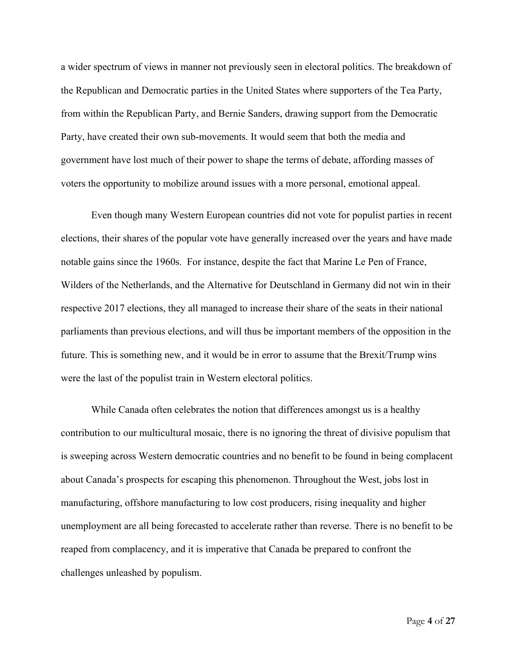a wider spectrum of views in manner not previously seen in electoral politics. The breakdown of the Republican and Democratic parties in the United States where supporters of the Tea Party, from within the Republican Party, and Bernie Sanders, drawing support from the Democratic Party, have created their own sub-movements. It would seem that both the media and government have lost much of their power to shape the terms of debate, affording masses of voters the opportunity to mobilize around issues with a more personal, emotional appeal.

Even though many Western European countries did not vote for populist parties in recent elections, their shares of the popular vote have generally increased over the years and have made notable gains since the 1960s. For instance, despite the fact that Marine Le Pen of France, Wilders of the Netherlands, and the Alternative for Deutschland in Germany did not win in their respective 2017 elections, they all managed to increase their share of the seats in their national parliaments than previous elections, and will thus be important members of the opposition in the future. This is something new, and it would be in error to assume that the Brexit/Trump wins were the last of the populist train in Western electoral politics.

While Canada often celebrates the notion that differences amongst us is a healthy contribution to our multicultural mosaic, there is no ignoring the threat of divisive populism that is sweeping across Western democratic countries and no benefit to be found in being complacent about Canada's prospects for escaping this phenomenon. Throughout the West, jobs lost in manufacturing, offshore manufacturing to low cost producers, rising inequality and higher unemployment are all being forecasted to accelerate rather than reverse. There is no benefit to be reaped from complacency, and it is imperative that Canada be prepared to confront the challenges unleashed by populism.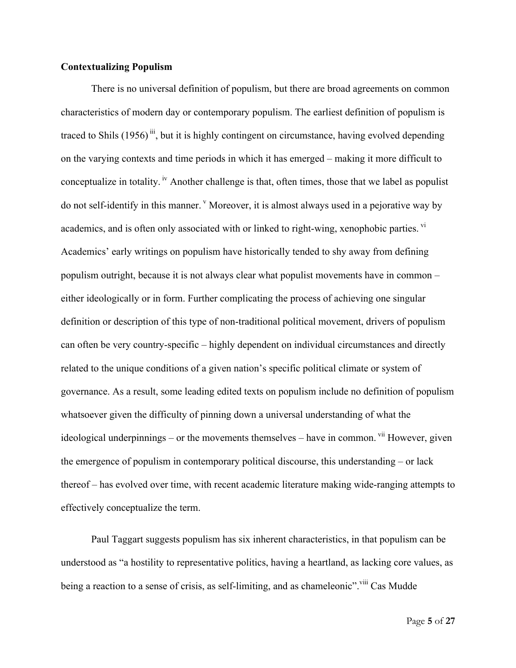#### **Contextualizing Populism**

There is no universal definition of populism, but there are broad agreements on common characteristics of modern day or contemporary populism. The earliest definition of populism is traced to Shils  $(1956)^{iii}$ , but it is highly contingent on circumstance, having evolved depending on the varying contexts and time periods in which it has emerged – making it more difficult to conceptualize in totality.<sup>iv</sup> Another challenge is that, often times, those that we label as populist do not self-identify in this manner. <sup>v</sup> Moreover, it is almost always used in a pejorative way by academics, and is often only associated with or linked to right-wing, xenophobic parties. <sup>vi</sup> Academics' early writings on populism have historically tended to shy away from defining populism outright, because it is not always clear what populist movements have in common – either ideologically or in form. Further complicating the process of achieving one singular definition or description of this type of non-traditional political movement, drivers of populism can often be very country-specific – highly dependent on individual circumstances and directly related to the unique conditions of a given nation's specific political climate or system of governance. As a result, some leading edited texts on populism include no definition of populism whatsoever given the difficulty of pinning down a universal understanding of what the ideological underpinnings – or the movements themselves – have in common. <sup>vii</sup> However, given the emergence of populism in contemporary political discourse, this understanding – or lack thereof – has evolved over time, with recent academic literature making wide-ranging attempts to effectively conceptualize the term.

Paul Taggart suggests populism has six inherent characteristics, in that populism can be understood as "a hostility to representative politics, having a heartland, as lacking core values, as being a reaction to a sense of crisis, as self-limiting, and as chameleonic". viii Cas Mudde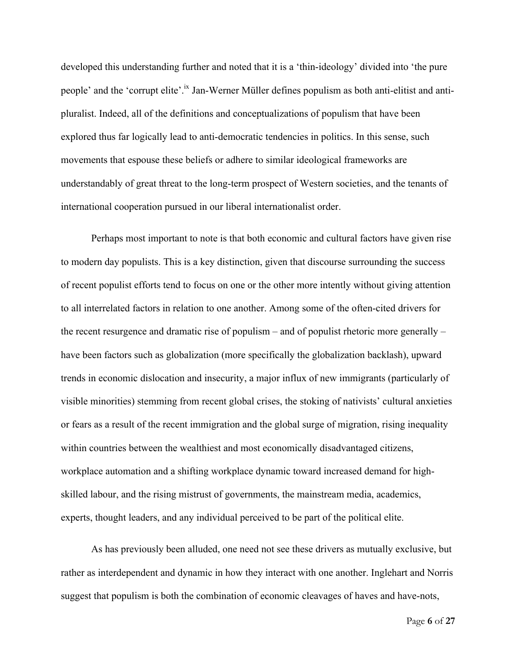developed this understanding further and noted that it is a 'thin-ideology' divided into 'the pure people' and the 'corrupt elite'.<sup>ix</sup> Jan-Werner Müller defines populism as both anti-elitist and antipluralist. Indeed, all of the definitions and conceptualizations of populism that have been explored thus far logically lead to anti-democratic tendencies in politics. In this sense, such movements that espouse these beliefs or adhere to similar ideological frameworks are understandably of great threat to the long-term prospect of Western societies, and the tenants of international cooperation pursued in our liberal internationalist order.

Perhaps most important to note is that both economic and cultural factors have given rise to modern day populists. This is a key distinction, given that discourse surrounding the success of recent populist efforts tend to focus on one or the other more intently without giving attention to all interrelated factors in relation to one another. Among some of the often-cited drivers for the recent resurgence and dramatic rise of populism – and of populist rhetoric more generally – have been factors such as globalization (more specifically the globalization backlash), upward trends in economic dislocation and insecurity, a major influx of new immigrants (particularly of visible minorities) stemming from recent global crises, the stoking of nativists' cultural anxieties or fears as a result of the recent immigration and the global surge of migration, rising inequality within countries between the wealthiest and most economically disadvantaged citizens, workplace automation and a shifting workplace dynamic toward increased demand for highskilled labour, and the rising mistrust of governments, the mainstream media, academics, experts, thought leaders, and any individual perceived to be part of the political elite.

As has previously been alluded, one need not see these drivers as mutually exclusive, but rather as interdependent and dynamic in how they interact with one another. Inglehart and Norris suggest that populism is both the combination of economic cleavages of haves and have-nots,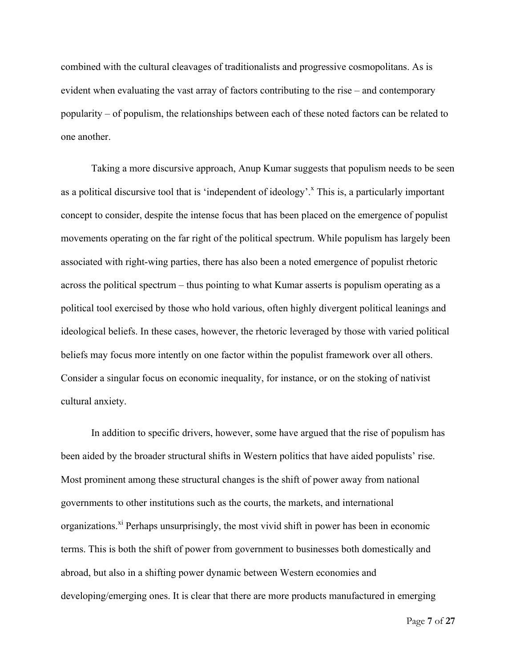combined with the cultural cleavages of traditionalists and progressive cosmopolitans. As is evident when evaluating the vast array of factors contributing to the rise – and contemporary popularity – of populism, the relationships between each of these noted factors can be related to one another.

Taking a more discursive approach, Anup Kumar suggests that populism needs to be seen as a political discursive tool that is 'independent of ideology'.<sup>x</sup> This is, a particularly important concept to consider, despite the intense focus that has been placed on the emergence of populist movements operating on the far right of the political spectrum. While populism has largely been associated with right-wing parties, there has also been a noted emergence of populist rhetoric across the political spectrum – thus pointing to what Kumar asserts is populism operating as a political tool exercised by those who hold various, often highly divergent political leanings and ideological beliefs. In these cases, however, the rhetoric leveraged by those with varied political beliefs may focus more intently on one factor within the populist framework over all others. Consider a singular focus on economic inequality, for instance, or on the stoking of nativist cultural anxiety.

In addition to specific drivers, however, some have argued that the rise of populism has been aided by the broader structural shifts in Western politics that have aided populists' rise. Most prominent among these structural changes is the shift of power away from national governments to other institutions such as the courts, the markets, and international organizations.<sup>xi</sup> Perhaps unsurprisingly, the most vivid shift in power has been in economic terms. This is both the shift of power from government to businesses both domestically and abroad, but also in a shifting power dynamic between Western economies and developing/emerging ones. It is clear that there are more products manufactured in emerging

Page **7** of **27**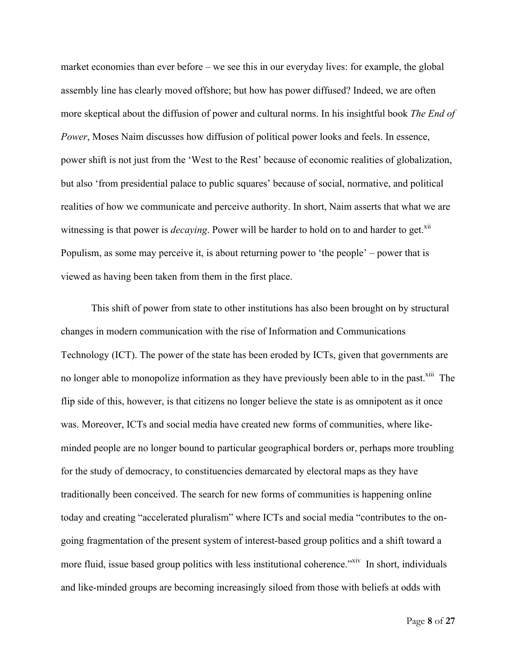market economies than ever before – we see this in our everyday lives: for example, the global assembly line has clearly moved offshore; but how has power diffused? Indeed, we are often more skeptical about the diffusion of power and cultural norms. In his insightful book *The End of Power*, Moses Naim discusses how diffusion of political power looks and feels. In essence, power shift is not just from the 'West to the Rest' because of economic realities of globalization, but also 'from presidential palace to public squares' because of social, normative, and political realities of how we communicate and perceive authority. In short, Naim asserts that what we are witnessing is that power is *decaying*. Power will be harder to hold on to and harder to get.<sup>xii</sup> Populism, as some may perceive it, is about returning power to 'the people' – power that is viewed as having been taken from them in the first place.

This shift of power from state to other institutions has also been brought on by structural changes in modern communication with the rise of Information and Communications Technology (ICT). The power of the state has been eroded by ICTs, given that governments are no longer able to monopolize information as they have previously been able to in the past.<sup>xiii</sup> The flip side of this, however, is that citizens no longer believe the state is as omnipotent as it once was. Moreover, ICTs and social media have created new forms of communities, where likeminded people are no longer bound to particular geographical borders or, perhaps more troubling for the study of democracy, to constituencies demarcated by electoral maps as they have traditionally been conceived. The search for new forms of communities is happening online today and creating "accelerated pluralism" where ICTs and social media "contributes to the ongoing fragmentation of the present system of interest-based group politics and a shift toward a more fluid, issue based group politics with less institutional coherence."<sup>xiv</sup> In short, individuals and like-minded groups are becoming increasingly siloed from those with beliefs at odds with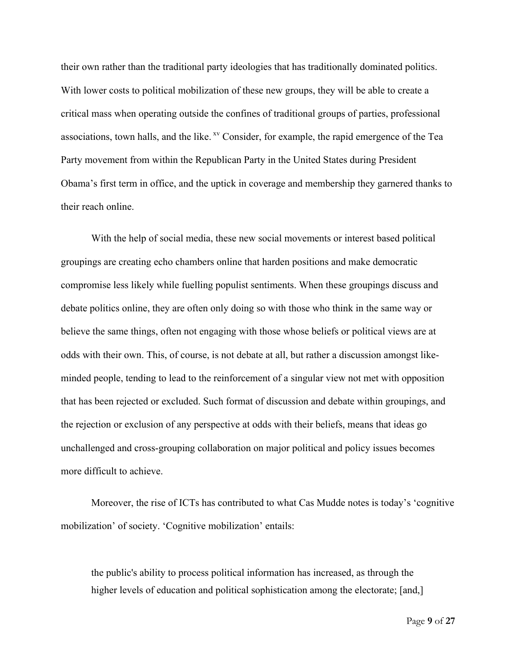their own rather than the traditional party ideologies that has traditionally dominated politics. With lower costs to political mobilization of these new groups, they will be able to create a critical mass when operating outside the confines of traditional groups of parties, professional associations, town halls, and the like. <sup>xv</sup> Consider, for example, the rapid emergence of the Tea Party movement from within the Republican Party in the United States during President Obama's first term in office, and the uptick in coverage and membership they garnered thanks to their reach online.

With the help of social media, these new social movements or interest based political groupings are creating echo chambers online that harden positions and make democratic compromise less likely while fuelling populist sentiments. When these groupings discuss and debate politics online, they are often only doing so with those who think in the same way or believe the same things, often not engaging with those whose beliefs or political views are at odds with their own. This, of course, is not debate at all, but rather a discussion amongst likeminded people, tending to lead to the reinforcement of a singular view not met with opposition that has been rejected or excluded. Such format of discussion and debate within groupings, and the rejection or exclusion of any perspective at odds with their beliefs, means that ideas go unchallenged and cross-grouping collaboration on major political and policy issues becomes more difficult to achieve.

Moreover, the rise of ICTs has contributed to what Cas Mudde notes is today's 'cognitive mobilization' of society. 'Cognitive mobilization' entails:

the public's ability to process political information has increased, as through the higher levels of education and political sophistication among the electorate; [and,]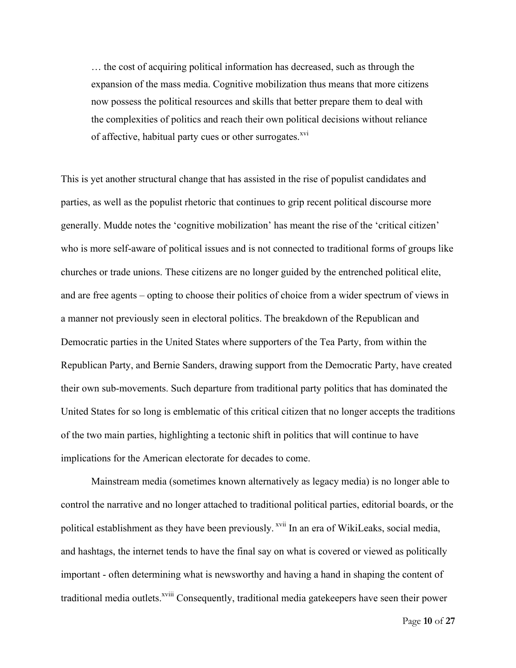… the cost of acquiring political information has decreased, such as through the expansion of the mass media. Cognitive mobilization thus means that more citizens now possess the political resources and skills that better prepare them to deal with the complexities of politics and reach their own political decisions without reliance of affective, habitual party cues or other surrogates.<sup>xvi</sup>

This is yet another structural change that has assisted in the rise of populist candidates and parties, as well as the populist rhetoric that continues to grip recent political discourse more generally. Mudde notes the 'cognitive mobilization' has meant the rise of the 'critical citizen' who is more self-aware of political issues and is not connected to traditional forms of groups like churches or trade unions. These citizens are no longer guided by the entrenched political elite, and are free agents – opting to choose their politics of choice from a wider spectrum of views in a manner not previously seen in electoral politics. The breakdown of the Republican and Democratic parties in the United States where supporters of the Tea Party, from within the Republican Party, and Bernie Sanders, drawing support from the Democratic Party, have created their own sub-movements. Such departure from traditional party politics that has dominated the United States for so long is emblematic of this critical citizen that no longer accepts the traditions of the two main parties, highlighting a tectonic shift in politics that will continue to have implications for the American electorate for decades to come.

Mainstream media (sometimes known alternatively as legacy media) is no longer able to control the narrative and no longer attached to traditional political parties, editorial boards, or the political establishment as they have been previously. <sup>xvii</sup> In an era of WikiLeaks, social media, and hashtags, the internet tends to have the final say on what is covered or viewed as politically important - often determining what is newsworthy and having a hand in shaping the content of traditional media outlets.<sup>xviii</sup> Consequently, traditional media gatekeepers have seen their power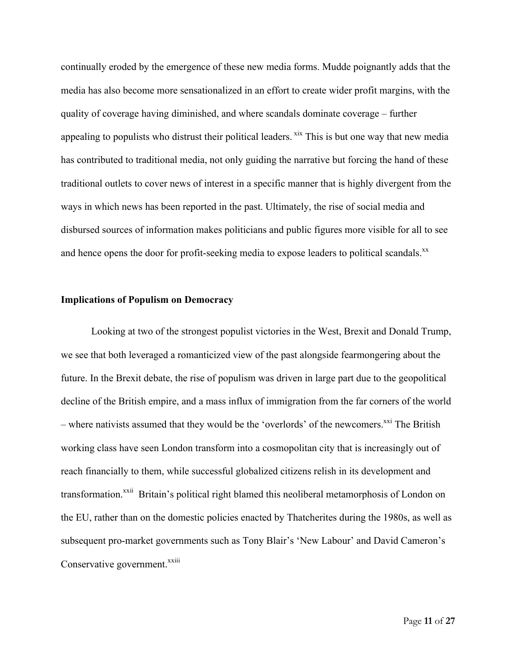continually eroded by the emergence of these new media forms. Mudde poignantly adds that the media has also become more sensationalized in an effort to create wider profit margins, with the quality of coverage having diminished, and where scandals dominate coverage – further appealing to populists who distrust their political leaders. <sup>xix</sup> This is but one way that new media has contributed to traditional media, not only guiding the narrative but forcing the hand of these traditional outlets to cover news of interest in a specific manner that is highly divergent from the ways in which news has been reported in the past. Ultimately, the rise of social media and disbursed sources of information makes politicians and public figures more visible for all to see and hence opens the door for profit-seeking media to expose leaders to political scandals.<sup>xx</sup>

#### **Implications of Populism on Democracy**

Looking at two of the strongest populist victories in the West, Brexit and Donald Trump, we see that both leveraged a romanticized view of the past alongside fearmongering about the future. In the Brexit debate, the rise of populism was driven in large part due to the geopolitical decline of the British empire, and a mass influx of immigration from the far corners of the world – where nativists assumed that they would be the 'overlords' of the newcomers. $^{xxi}$  The British working class have seen London transform into a cosmopolitan city that is increasingly out of reach financially to them, while successful globalized citizens relish in its development and transformation.<sup>xxii</sup> Britain's political right blamed this neoliberal metamorphosis of London on the EU, rather than on the domestic policies enacted by Thatcherites during the 1980s, as well as subsequent pro-market governments such as Tony Blair's 'New Labour' and David Cameron's Conservative government.<sup>xxiii</sup>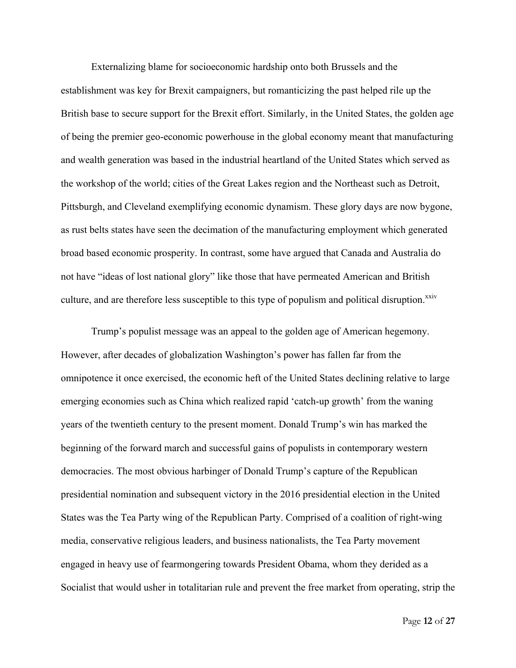Externalizing blame for socioeconomic hardship onto both Brussels and the establishment was key for Brexit campaigners, but romanticizing the past helped rile up the British base to secure support for the Brexit effort. Similarly, in the United States, the golden age of being the premier geo-economic powerhouse in the global economy meant that manufacturing and wealth generation was based in the industrial heartland of the United States which served as the workshop of the world; cities of the Great Lakes region and the Northeast such as Detroit, Pittsburgh, and Cleveland exemplifying economic dynamism. These glory days are now bygone, as rust belts states have seen the decimation of the manufacturing employment which generated broad based economic prosperity. In contrast, some have argued that Canada and Australia do not have "ideas of lost national glory" like those that have permeated American and British culture, and are therefore less susceptible to this type of populism and political disruption.<sup>xxiv</sup>

Trump's populist message was an appeal to the golden age of American hegemony. However, after decades of globalization Washington's power has fallen far from the omnipotence it once exercised, the economic heft of the United States declining relative to large emerging economies such as China which realized rapid 'catch-up growth' from the waning years of the twentieth century to the present moment. Donald Trump's win has marked the beginning of the forward march and successful gains of populists in contemporary western democracies. The most obvious harbinger of Donald Trump's capture of the Republican presidential nomination and subsequent victory in the 2016 presidential election in the United States was the Tea Party wing of the Republican Party. Comprised of a coalition of right-wing media, conservative religious leaders, and business nationalists, the Tea Party movement engaged in heavy use of fearmongering towards President Obama, whom they derided as a Socialist that would usher in totalitarian rule and prevent the free market from operating, strip the

Page **12** of **27**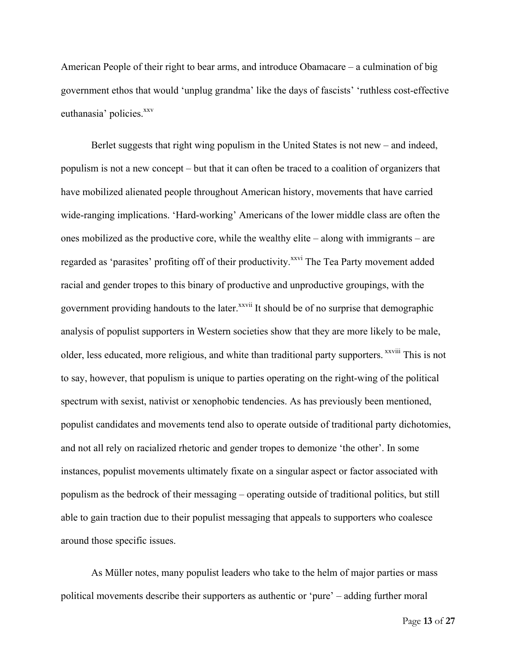American People of their right to bear arms, and introduce Obamacare – a culmination of big government ethos that would 'unplug grandma' like the days of fascists' 'ruthless cost-effective euthanasia' policies.<sup>xxv</sup>

Berlet suggests that right wing populism in the United States is not new – and indeed, populism is not a new concept – but that it can often be traced to a coalition of organizers that have mobilized alienated people throughout American history, movements that have carried wide-ranging implications. 'Hard-working' Americans of the lower middle class are often the ones mobilized as the productive core, while the wealthy elite – along with immigrants – are regarded as 'parasites' profiting off of their productivity.<sup>xxvi</sup> The Tea Party movement added racial and gender tropes to this binary of productive and unproductive groupings, with the government providing handouts to the later.<sup>xxvii</sup> It should be of no surprise that demographic analysis of populist supporters in Western societies show that they are more likely to be male, older, less educated, more religious, and white than traditional party supporters. xxviii This is not to say, however, that populism is unique to parties operating on the right-wing of the political spectrum with sexist, nativist or xenophobic tendencies. As has previously been mentioned, populist candidates and movements tend also to operate outside of traditional party dichotomies, and not all rely on racialized rhetoric and gender tropes to demonize 'the other'. In some instances, populist movements ultimately fixate on a singular aspect or factor associated with populism as the bedrock of their messaging – operating outside of traditional politics, but still able to gain traction due to their populist messaging that appeals to supporters who coalesce around those specific issues.

As Müller notes, many populist leaders who take to the helm of major parties or mass political movements describe their supporters as authentic or 'pure' – adding further moral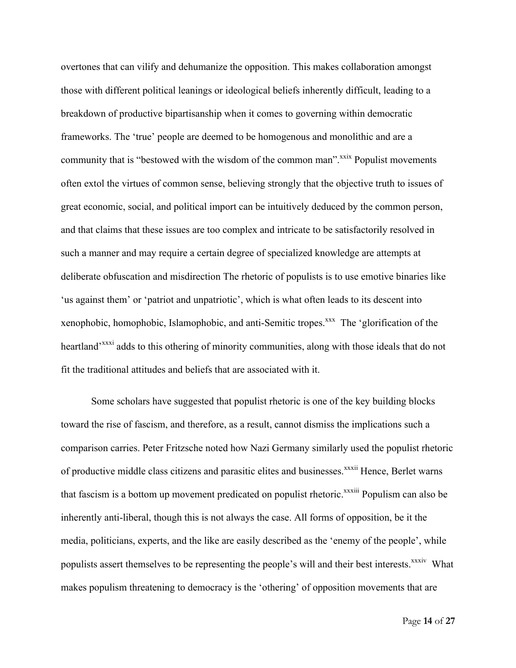overtones that can vilify and dehumanize the opposition. This makes collaboration amongst those with different political leanings or ideological beliefs inherently difficult, leading to a breakdown of productive bipartisanship when it comes to governing within democratic frameworks. The 'true' people are deemed to be homogenous and monolithic and are a community that is "bestowed with the wisdom of the common man".<sup>xxix</sup> Populist movements often extol the virtues of common sense, believing strongly that the objective truth to issues of great economic, social, and political import can be intuitively deduced by the common person, and that claims that these issues are too complex and intricate to be satisfactorily resolved in such a manner and may require a certain degree of specialized knowledge are attempts at deliberate obfuscation and misdirection The rhetoric of populists is to use emotive binaries like 'us against them' or 'patriot and unpatriotic', which is what often leads to its descent into xenophobic, homophobic, Islamophobic, and anti-Semitic tropes.<sup>xxx</sup> The 'glorification of the heartland<sup>'xxxi</sup> adds to this othering of minority communities, along with those ideals that do not fit the traditional attitudes and beliefs that are associated with it.

Some scholars have suggested that populist rhetoric is one of the key building blocks toward the rise of fascism, and therefore, as a result, cannot dismiss the implications such a comparison carries. Peter Fritzsche noted how Nazi Germany similarly used the populist rhetoric of productive middle class citizens and parasitic elites and businesses.<sup>xxxii</sup> Hence, Berlet warns that fascism is a bottom up movement predicated on populist rhetoric.<sup>xxxiii</sup> Populism can also be inherently anti-liberal, though this is not always the case. All forms of opposition, be it the media, politicians, experts, and the like are easily described as the 'enemy of the people', while populists assert themselves to be representing the people's will and their best interests.<sup>xxxiv</sup> What makes populism threatening to democracy is the 'othering' of opposition movements that are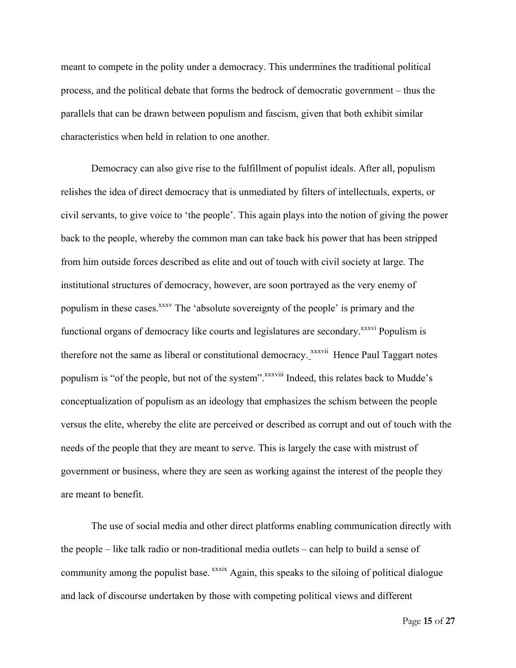meant to compete in the polity under a democracy. This undermines the traditional political process, and the political debate that forms the bedrock of democratic government – thus the parallels that can be drawn between populism and fascism, given that both exhibit similar characteristics when held in relation to one another.

Democracy can also give rise to the fulfillment of populist ideals. After all, populism relishes the idea of direct democracy that is unmediated by filters of intellectuals, experts, or civil servants, to give voice to 'the people'. This again plays into the notion of giving the power back to the people, whereby the common man can take back his power that has been stripped from him outside forces described as elite and out of touch with civil society at large. The institutional structures of democracy, however, are soon portrayed as the very enemy of populism in these cases.<sup>xxxv</sup> The 'absolute sovereignty of the people' is primary and the functional organs of democracy like courts and legislatures are secondary.<sup>xxxvi</sup> Populism is therefore not the same as liberal or constitutional democracy. *xxxvii* Hence Paul Taggart notes populism is "of the people, but not of the system".<sup>xxxviii</sup> Indeed, this relates back to Mudde's conceptualization of populism as an ideology that emphasizes the schism between the people versus the elite, whereby the elite are perceived or described as corrupt and out of touch with the needs of the people that they are meant to serve. This is largely the case with mistrust of government or business, where they are seen as working against the interest of the people they are meant to benefit.

The use of social media and other direct platforms enabling communication directly with the people – like talk radio or non-traditional media outlets – can help to build a sense of community among the populist base. xxxix Again, this speaks to the siloing of political dialogue and lack of discourse undertaken by those with competing political views and different

Page **15** of **27**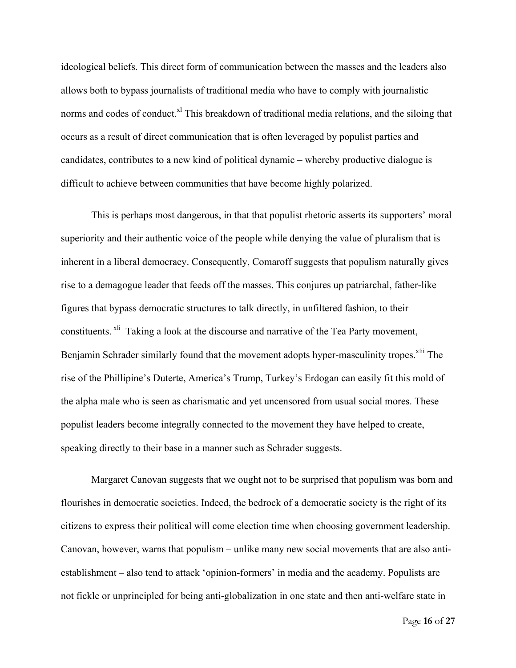ideological beliefs. This direct form of communication between the masses and the leaders also allows both to bypass journalists of traditional media who have to comply with journalistic norms and codes of conduct.<sup>xl</sup> This breakdown of traditional media relations, and the siloing that occurs as a result of direct communication that is often leveraged by populist parties and candidates, contributes to a new kind of political dynamic – whereby productive dialogue is difficult to achieve between communities that have become highly polarized.

This is perhaps most dangerous, in that that populist rhetoric asserts its supporters' moral superiority and their authentic voice of the people while denying the value of pluralism that is inherent in a liberal democracy. Consequently, Comaroff suggests that populism naturally gives rise to a demagogue leader that feeds off the masses. This conjures up patriarchal, father-like figures that bypass democratic structures to talk directly, in unfiltered fashion, to their constituents. <sup>xli</sup> Taking a look at the discourse and narrative of the Tea Party movement, Benjamin Schrader similarly found that the movement adopts hyper-masculinity tropes.<sup>xlii</sup> The rise of the Phillipine's Duterte, America's Trump, Turkey's Erdogan can easily fit this mold of the alpha male who is seen as charismatic and yet uncensored from usual social mores. These populist leaders become integrally connected to the movement they have helped to create, speaking directly to their base in a manner such as Schrader suggests.

Margaret Canovan suggests that we ought not to be surprised that populism was born and flourishes in democratic societies. Indeed, the bedrock of a democratic society is the right of its citizens to express their political will come election time when choosing government leadership. Canovan, however, warns that populism – unlike many new social movements that are also antiestablishment – also tend to attack 'opinion-formers' in media and the academy. Populists are not fickle or unprincipled for being anti-globalization in one state and then anti-welfare state in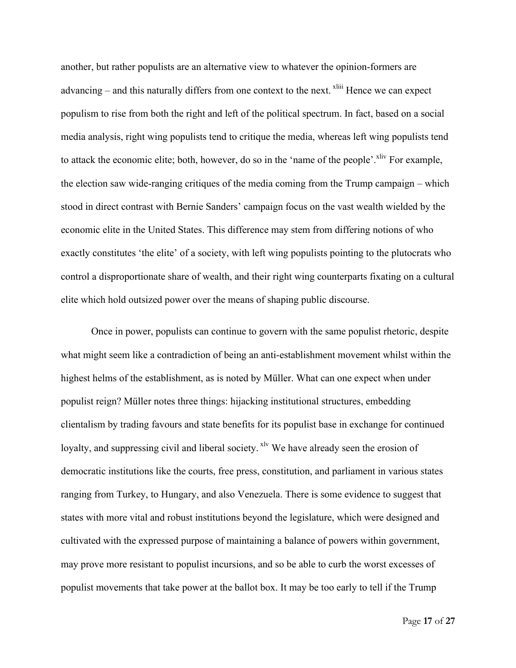another, but rather populists are an alternative view to whatever the opinion-formers are advancing – and this naturally differs from one context to the next.  $\frac{x}{y}$  Hence we can expect populism to rise from both the right and left of the political spectrum. In fact, based on a social media analysis, right wing populists tend to critique the media, whereas left wing populists tend to attack the economic elite; both, however, do so in the 'name of the people'. $\frac{x}{y}$  For example, the election saw wide-ranging critiques of the media coming from the Trump campaign – which stood in direct contrast with Bernie Sanders' campaign focus on the vast wealth wielded by the economic elite in the United States. This difference may stem from differing notions of who exactly constitutes 'the elite' of a society, with left wing populists pointing to the plutocrats who control a disproportionate share of wealth, and their right wing counterparts fixating on a cultural elite which hold outsized power over the means of shaping public discourse.

Once in power, populists can continue to govern with the same populist rhetoric, despite what might seem like a contradiction of being an anti-establishment movement whilst within the highest helms of the establishment, as is noted by Müller. What can one expect when under populist reign? Müller notes three things: hijacking institutional structures, embedding clientalism by trading favours and state benefits for its populist base in exchange for continued loyalty, and suppressing civil and liberal society. <sup>xlv</sup> We have already seen the erosion of democratic institutions like the courts, free press, constitution, and parliament in various states ranging from Turkey, to Hungary, and also Venezuela. There is some evidence to suggest that states with more vital and robust institutions beyond the legislature, which were designed and cultivated with the expressed purpose of maintaining a balance of powers within government, may prove more resistant to populist incursions, and so be able to curb the worst excesses of populist movements that take power at the ballot box. It may be too early to tell if the Trump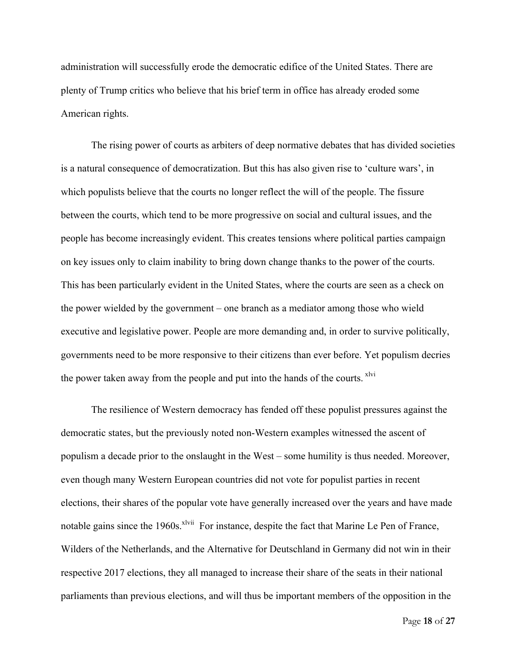administration will successfully erode the democratic edifice of the United States. There are plenty of Trump critics who believe that his brief term in office has already eroded some American rights.

The rising power of courts as arbiters of deep normative debates that has divided societies is a natural consequence of democratization. But this has also given rise to 'culture wars', in which populists believe that the courts no longer reflect the will of the people. The fissure between the courts, which tend to be more progressive on social and cultural issues, and the people has become increasingly evident. This creates tensions where political parties campaign on key issues only to claim inability to bring down change thanks to the power of the courts. This has been particularly evident in the United States, where the courts are seen as a check on the power wielded by the government – one branch as a mediator among those who wield executive and legislative power. People are more demanding and, in order to survive politically, governments need to be more responsive to their citizens than ever before. Yet populism decries the power taken away from the people and put into the hands of the courts. <sup>xlvi</sup>

The resilience of Western democracy has fended off these populist pressures against the democratic states, but the previously noted non-Western examples witnessed the ascent of populism a decade prior to the onslaught in the West – some humility is thus needed. Moreover, even though many Western European countries did not vote for populist parties in recent elections, their shares of the popular vote have generally increased over the years and have made notable gains since the 1960s.<sup>xlvii</sup> For instance, despite the fact that Marine Le Pen of France, Wilders of the Netherlands, and the Alternative for Deutschland in Germany did not win in their respective 2017 elections, they all managed to increase their share of the seats in their national parliaments than previous elections, and will thus be important members of the opposition in the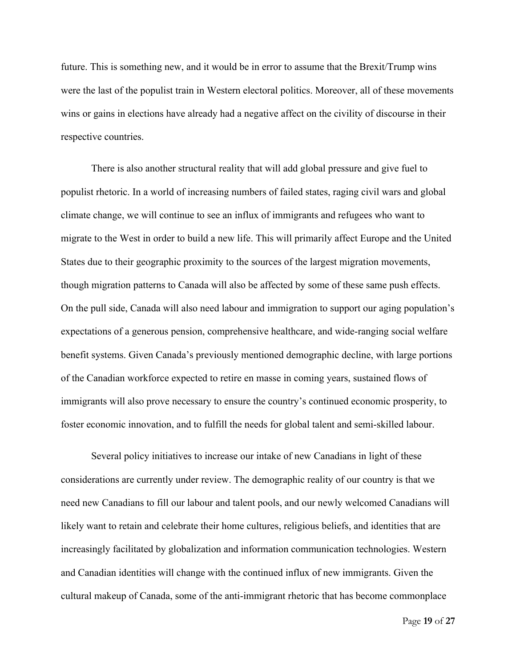future. This is something new, and it would be in error to assume that the Brexit/Trump wins were the last of the populist train in Western electoral politics. Moreover, all of these movements wins or gains in elections have already had a negative affect on the civility of discourse in their respective countries.

There is also another structural reality that will add global pressure and give fuel to populist rhetoric. In a world of increasing numbers of failed states, raging civil wars and global climate change, we will continue to see an influx of immigrants and refugees who want to migrate to the West in order to build a new life. This will primarily affect Europe and the United States due to their geographic proximity to the sources of the largest migration movements, though migration patterns to Canada will also be affected by some of these same push effects. On the pull side, Canada will also need labour and immigration to support our aging population's expectations of a generous pension, comprehensive healthcare, and wide-ranging social welfare benefit systems. Given Canada's previously mentioned demographic decline, with large portions of the Canadian workforce expected to retire en masse in coming years, sustained flows of immigrants will also prove necessary to ensure the country's continued economic prosperity, to foster economic innovation, and to fulfill the needs for global talent and semi-skilled labour.

Several policy initiatives to increase our intake of new Canadians in light of these considerations are currently under review. The demographic reality of our country is that we need new Canadians to fill our labour and talent pools, and our newly welcomed Canadians will likely want to retain and celebrate their home cultures, religious beliefs, and identities that are increasingly facilitated by globalization and information communication technologies. Western and Canadian identities will change with the continued influx of new immigrants. Given the cultural makeup of Canada, some of the anti-immigrant rhetoric that has become commonplace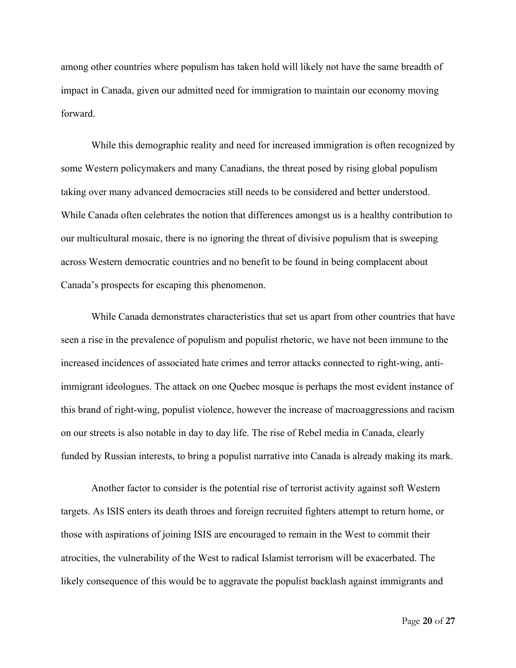among other countries where populism has taken hold will likely not have the same breadth of impact in Canada, given our admitted need for immigration to maintain our economy moving forward.

While this demographic reality and need for increased immigration is often recognized by some Western policymakers and many Canadians, the threat posed by rising global populism taking over many advanced democracies still needs to be considered and better understood. While Canada often celebrates the notion that differences amongst us is a healthy contribution to our multicultural mosaic, there is no ignoring the threat of divisive populism that is sweeping across Western democratic countries and no benefit to be found in being complacent about Canada's prospects for escaping this phenomenon.

While Canada demonstrates characteristics that set us apart from other countries that have seen a rise in the prevalence of populism and populist rhetoric, we have not been immune to the increased incidences of associated hate crimes and terror attacks connected to right-wing, antiimmigrant ideologues. The attack on one Quebec mosque is perhaps the most evident instance of this brand of right-wing, populist violence, however the increase of macroaggressions and racism on our streets is also notable in day to day life. The rise of Rebel media in Canada, clearly funded by Russian interests, to bring a populist narrative into Canada is already making its mark.

Another factor to consider is the potential rise of terrorist activity against soft Western targets. As ISIS enters its death throes and foreign recruited fighters attempt to return home, or those with aspirations of joining ISIS are encouraged to remain in the West to commit their atrocities, the vulnerability of the West to radical Islamist terrorism will be exacerbated. The likely consequence of this would be to aggravate the populist backlash against immigrants and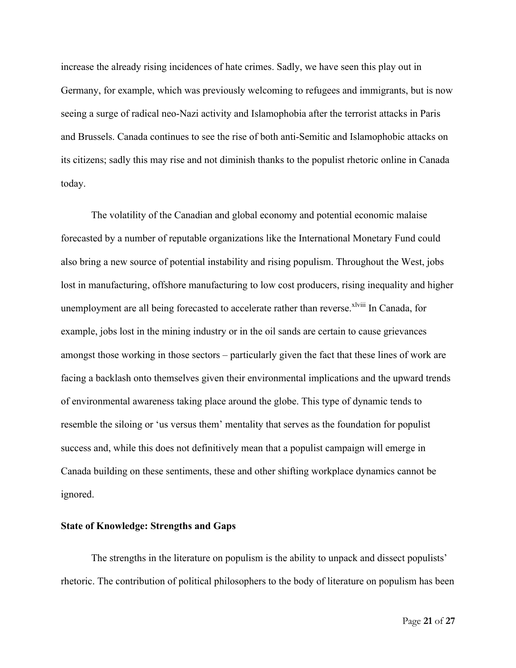increase the already rising incidences of hate crimes. Sadly, we have seen this play out in Germany, for example, which was previously welcoming to refugees and immigrants, but is now seeing a surge of radical neo-Nazi activity and Islamophobia after the terrorist attacks in Paris and Brussels. Canada continues to see the rise of both anti-Semitic and Islamophobic attacks on its citizens; sadly this may rise and not diminish thanks to the populist rhetoric online in Canada today.

The volatility of the Canadian and global economy and potential economic malaise forecasted by a number of reputable organizations like the International Monetary Fund could also bring a new source of potential instability and rising populism. Throughout the West, jobs lost in manufacturing, offshore manufacturing to low cost producers, rising inequality and higher unemployment are all being forecasted to accelerate rather than reverse. Xlviii In Canada, for example, jobs lost in the mining industry or in the oil sands are certain to cause grievances amongst those working in those sectors – particularly given the fact that these lines of work are facing a backlash onto themselves given their environmental implications and the upward trends of environmental awareness taking place around the globe. This type of dynamic tends to resemble the siloing or 'us versus them' mentality that serves as the foundation for populist success and, while this does not definitively mean that a populist campaign will emerge in Canada building on these sentiments, these and other shifting workplace dynamics cannot be ignored.

#### **State of Knowledge: Strengths and Gaps**

The strengths in the literature on populism is the ability to unpack and dissect populists' rhetoric. The contribution of political philosophers to the body of literature on populism has been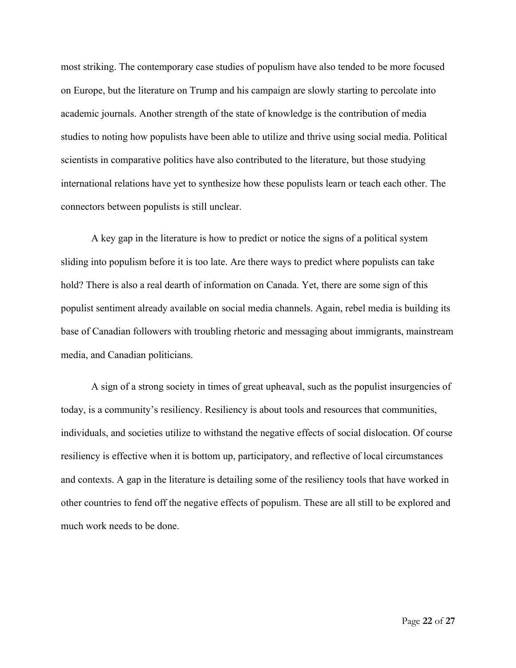most striking. The contemporary case studies of populism have also tended to be more focused on Europe, but the literature on Trump and his campaign are slowly starting to percolate into academic journals. Another strength of the state of knowledge is the contribution of media studies to noting how populists have been able to utilize and thrive using social media. Political scientists in comparative politics have also contributed to the literature, but those studying international relations have yet to synthesize how these populists learn or teach each other. The connectors between populists is still unclear.

A key gap in the literature is how to predict or notice the signs of a political system sliding into populism before it is too late. Are there ways to predict where populists can take hold? There is also a real dearth of information on Canada. Yet, there are some sign of this populist sentiment already available on social media channels. Again, rebel media is building its base of Canadian followers with troubling rhetoric and messaging about immigrants, mainstream media, and Canadian politicians.

A sign of a strong society in times of great upheaval, such as the populist insurgencies of today, is a community's resiliency. Resiliency is about tools and resources that communities, individuals, and societies utilize to withstand the negative effects of social dislocation. Of course resiliency is effective when it is bottom up, participatory, and reflective of local circumstances and contexts. A gap in the literature is detailing some of the resiliency tools that have worked in other countries to fend off the negative effects of populism. These are all still to be explored and much work needs to be done.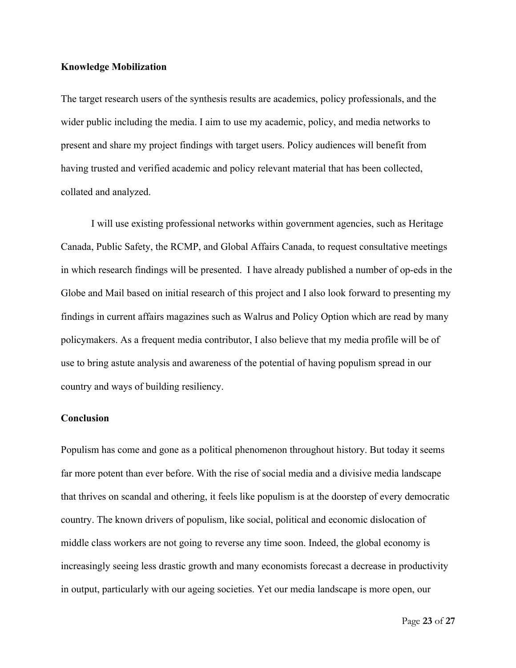#### **Knowledge Mobilization**

The target research users of the synthesis results are academics, policy professionals, and the wider public including the media. I aim to use my academic, policy, and media networks to present and share my project findings with target users. Policy audiences will benefit from having trusted and verified academic and policy relevant material that has been collected, collated and analyzed.

I will use existing professional networks within government agencies, such as Heritage Canada, Public Safety, the RCMP, and Global Affairs Canada, to request consultative meetings in which research findings will be presented. I have already published a number of op-eds in the Globe and Mail based on initial research of this project and I also look forward to presenting my findings in current affairs magazines such as Walrus and Policy Option which are read by many policymakers. As a frequent media contributor, I also believe that my media profile will be of use to bring astute analysis and awareness of the potential of having populism spread in our country and ways of building resiliency.

#### **Conclusion**

Populism has come and gone as a political phenomenon throughout history. But today it seems far more potent than ever before. With the rise of social media and a divisive media landscape that thrives on scandal and othering, it feels like populism is at the doorstep of every democratic country. The known drivers of populism, like social, political and economic dislocation of middle class workers are not going to reverse any time soon. Indeed, the global economy is increasingly seeing less drastic growth and many economists forecast a decrease in productivity in output, particularly with our ageing societies. Yet our media landscape is more open, our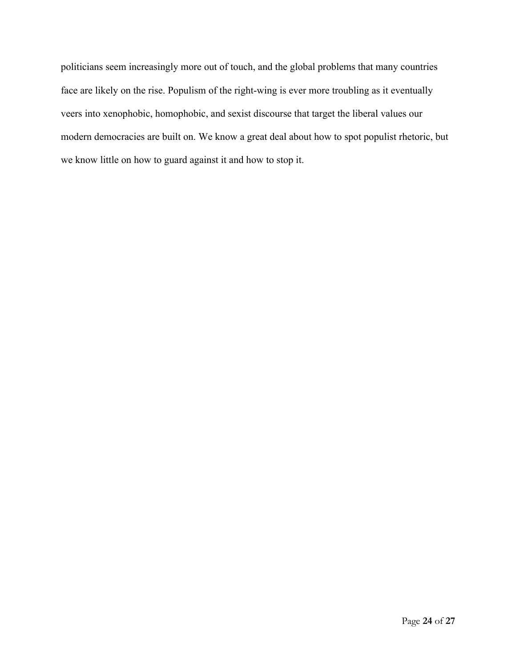politicians seem increasingly more out of touch, and the global problems that many countries face are likely on the rise. Populism of the right-wing is ever more troubling as it eventually veers into xenophobic, homophobic, and sexist discourse that target the liberal values our modern democracies are built on. We know a great deal about how to spot populist rhetoric, but we know little on how to guard against it and how to stop it.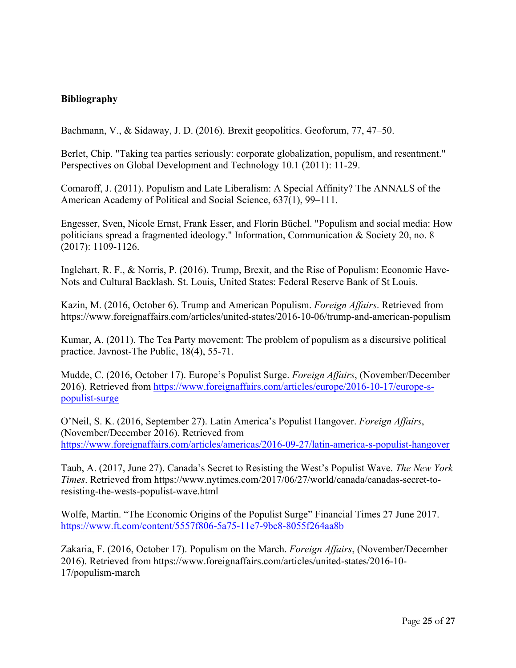# **Bibliography**

Bachmann, V., & Sidaway, J. D. (2016). Brexit geopolitics. Geoforum, 77, 47–50.

Berlet, Chip. "Taking tea parties seriously: corporate globalization, populism, and resentment." Perspectives on Global Development and Technology 10.1 (2011): 11-29.

Comaroff, J. (2011). Populism and Late Liberalism: A Special Affinity? The ANNALS of the American Academy of Political and Social Science, 637(1), 99–111.

Engesser, Sven, Nicole Ernst, Frank Esser, and Florin Büchel. "Populism and social media: How politicians spread a fragmented ideology." Information, Communication & Society 20, no. 8 (2017): 1109-1126.

Inglehart, R. F., & Norris, P. (2016). Trump, Brexit, and the Rise of Populism: Economic Have-Nots and Cultural Backlash. St. Louis, United States: Federal Reserve Bank of St Louis.

Kazin, M. (2016, October 6). Trump and American Populism. *Foreign Affairs*. Retrieved from https://www.foreignaffairs.com/articles/united-states/2016-10-06/trump-and-american-populism

Kumar, A. (2011). The Tea Party movement: The problem of populism as a discursive political practice. Javnost-The Public, 18(4), 55-71.

Mudde, C. (2016, October 17). Europe's Populist Surge. *Foreign Affairs*, (November/December 2016). Retrieved from https://www.foreignaffairs.com/articles/europe/2016-10-17/europe-spopulist-surge

O'Neil, S. K. (2016, September 27). Latin America's Populist Hangover. *Foreign Affairs*, (November/December 2016). Retrieved from https://www.foreignaffairs.com/articles/americas/2016-09-27/latin-america-s-populist-hangover

Taub, A. (2017, June 27). Canada's Secret to Resisting the West's Populist Wave. *The New York Times*. Retrieved from https://www.nytimes.com/2017/06/27/world/canada/canadas-secret-toresisting-the-wests-populist-wave.html

Wolfe, Martin. "The Economic Origins of the Populist Surge" Financial Times 27 June 2017. https://www.ft.com/content/5557f806-5a75-11e7-9bc8-8055f264aa8b

Zakaria, F. (2016, October 17). Populism on the March. *Foreign Affairs*, (November/December 2016). Retrieved from https://www.foreignaffairs.com/articles/united-states/2016-10- 17/populism-march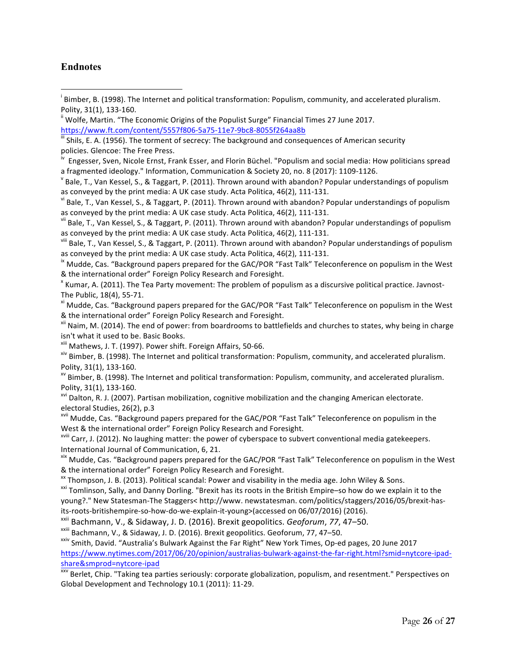### **Endnotes**

<u> 1989 - Johann Barn, mars ann an t-Amhain an t-Amhain an t-Amhain an t-Amhain an t-Amhain an t-Amhain an t-Amh</u>

<sup>i</sup> Bimber, B. (1998). The Internet and political transformation: Populism, community, and accelerated pluralism.

The Public, 18(4), 55-71.<br><sup>xi</sup> Mudde, Cas. "Background papers prepared for the GAC/POR "Fast Talk" Teleconference on populism in the West

& the international order" Foreign Policy Research and Foresight.<br>
<sup>xii</sup> Naim, M. (2014). The end of power: from boardrooms to battlefields and churches to states, why being in charge

isn't what it used to be. Basic Books.

<sup>xiii</sup> Mathews, J. T. (1997). Power shift. Foreign Affairs, 50-66.<br><sup>xiv</sup> Bimber, B. (1998). The Internet and political transformation: Populism, community, and accelerated pluralism. Polity, 31(1), 133-160.<br><sup>xv</sup> Bimber, B. (1998). The Internet and political transformation: Populism, community, and accelerated pluralism.

Polity, 31(1), 133-160.<br><sup>xvi</sup> Dalton, R. J. (2007). Partisan mobilization, cognitive mobilization and the changing American electorate.

electoral Studies, 26(2), p.3<br><sup>xvii</sup> Mudde, Cas. "Background papers prepared for the GAC/POR "Fast Talk" Teleconference on populism in the

West & the international order" Foreign Policy Research and Foresight.<br>
<sup>xviii</sup> Carr, J. (2012). No laughing matter: the power of cyberspace to subvert conventional media gatekeepers.

International Journal of Communication, 6, 21.

<sup>xix</sup> Mudde, Cas. "Background papers prepared for the GAC/POR "Fast Talk" Teleconference on populism in the West

& the international order" Foreign Policy Research and Foresight.<br><sup>xx</sup> Thompson, J. B. (2013). Political scandal: Power and visability in the media age. John Wiley & Sons.<br><sup>xxi</sup> Tomlinson, Sally, and Danny Dorling. "Brexit young?." New Statesman-The Staggers< http://www. newstatesman. com/politics/staggers/2016/05/brexit-hasits-roots-britishempire-so-how-do-we-explain-it-young>(accessed on 06/07/2016) (2016).

xxii Bachmann, V., & Sidaway, J. D. (2016). Brexit geopolitics. *Geoforum*, *77*, 47–50.

<sup>xxiii</sup> Bachmann, V., & Sidaway, J. D. (2016). Brexit geopolitics. Geoforum, 77, 47–50.<br><sup>xxiv</sup> Smith, David. "Australia's Bulwark Against the Far Right" New York Times, Op-ed pages, 20 June 2017 https://www.nytimes.com/2017/06/20/opinion/australias-bulwark-against-the-far-right.html?smid=nytcore-ipadshare&smprod=nytcore-ipad<br><sup>xxv</sup> Berlet, Chip. "Taking tea parties seriously: corporate globalization, populism, and resentment." Perspectives on

Global Development and Technology 10.1 (2011): 11-29.

Polity, 31(1), 133-160.<br><sup>ii</sup> Wolfe, Martin. "The Economic Origins of the Populist Surge" Financial Times 27 June 2017.

https://www.ft.com/content/5557f806-5a75-11e7-9bc8-8055f264aa8b<br>
iii Shils, E. A. (1956). The torment of secrecy: The background and consequences of American security

policies. Glencoe: The Free Press.<br><sup>iv</sup> Engesser, Sven, Nicole Ernst, Frank Esser, and Florin Büchel. "Populism and social media: How politicians spread a fragmented ideology." Information, Communication & Society 20, no. 8 (2017): 1109-1126.<br><sup>Y</sup> Bale, T., Van Kessel, S., & Taggart, P. (2011). Thrown around with abandon? Popular understandings of populism

as conveyed by the print media: A UK case study. Acta Politica, 46(2), 111-131.<br><sup>vi</sup> Bale, T., Van Kessel, S., & Taggart, P. (2011). Thrown around with abandon? Popular understandings of populism

as conveyed by the print media: A UK case study. Acta Politica, 46(2), 111-131.<br><sup>vii</sup> Bale, T., Van Kessel, S., & Taggart, P. (2011). Thrown around with abandon? Popular understandings of populism

as conveyed by the print media: A UK case study. Acta Politica, 46(2), 111-131.<br>
<sup>viii</sup> Bale, T., Van Kessel, S., & Taggart, P. (2011). Thrown around with abandon? Popular understandings of populism

as conveyed by the print media: A UK case study. Acta Politica, 46(2), 111-131.<br><sup>ix</sup> Mudde, Cas. "Background papers prepared for the GAC/POR "Fast Talk" Teleconference on populism in the West

<sup>&</sup>amp; the international order" Foreign Policy Research and Foresight.<br><sup>×</sup> Kumar, A. (2011). The Tea Party movement: The problem of populism as a discursive political practice. Javnost-